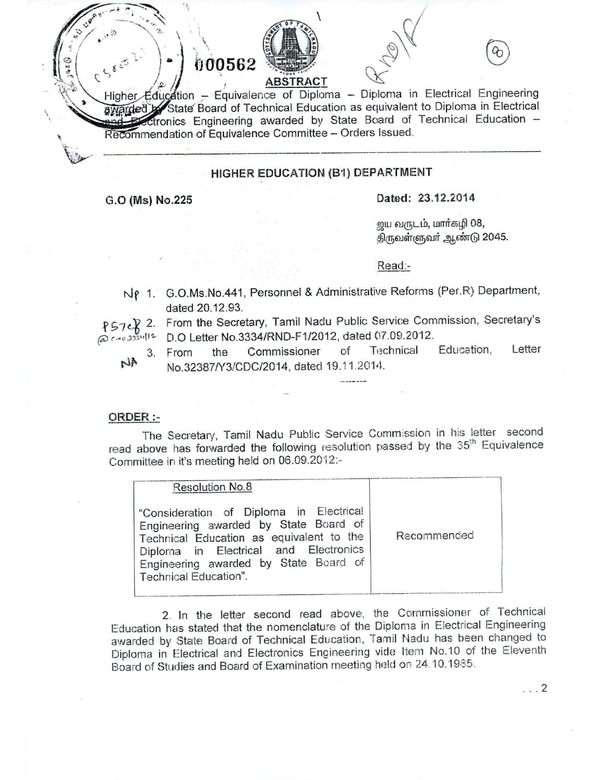$\left(\frac{1}{2}\right)^{1/2}$  ,  $\left(\frac{1}{2}\right)^{1/2}$  ,  $\left(\frac{1}{2}\right)^{1/2}$  ,  $\left(\frac{1}{2}\right)^{1/2}$  ,  $\left(\frac{1}{2}\right)^{1/2}$  ,  $\left(\frac{1}{2}\right)^{1/2}$  ,  $\left(\frac{1}{2}\right)^{1/2}$  ,  $\left(\frac{1}{2}\right)^{1/2}$  ,  $\left(\frac{1}{2}\right)^{1/2}$  ,  $\left(\frac{1}{2}\right)^{1/2}$  ,  $\left(\frac{1}{2}\right$ Higher Education - Equivalence of Diploma - Diploma in Electrical Engineering awarded by State Board of Technical Education as equivalent to Diploma in Electrical ronies Engineering awarded by State Board of Technical Education - Recommendation of Equivalence Committee - Orders Issued.

### HIGHER EDUCATION (B1) DEPARTMENT

*,~~ .l~*

'~,

 $\frac{1}{2} \int_{0}^{\frac{1}{2}} e^{2 \pi i x} dx$  $\frac{1}{2}$ 

## G.O (Ms) No.225 Dated: 23.12.2014

ஜய வருடம், மார்கழி 08, திருவள்ளுவர் ஆண்டு 2045.

Read:-

- Nρ 1. G.O.Ms.No.441, Personnel & Administrative Reforms (Per.R) Departmen dated 20.12.93,
- $\{57c\}$  2. From the Secretary, Tamil Nadu Public Service Commission, Secretary'  $0.703334112$ 0.0 Letter NO.3334/HND-F1/2012, dated 07.09.2012.
	- NA
- 3. From the Commissioner of Technical Education, Letter No.32387/Y3/CDC/2014, dated 19.11.2014.

#### ORDER :-

The Secretary, Tamil Nadu Public Service Commission in his letter second read above has forwarded the following resolution passed by the 35<sup>th</sup> Equivalence Committee in it's meeting held on 06.09.2012:-

| Resolution No.8                                                                                                                                                                                                                         |             |
|-----------------------------------------------------------------------------------------------------------------------------------------------------------------------------------------------------------------------------------------|-------------|
| "Consideration of Diploma in Electrical<br>Engineering awarded by State Board of<br>Technical Education as equivalent to the<br>Diploma in Electrical and Electronics<br>Engineering awarded by State Board of<br>Technical Education". | Recommended |

2. In the letter second read above, the Commissioner of Technical Education has stated that the nomenclature of the Diploma in Electrical Engineering awarded by State Board of Technical Education, Tamil Nadu has been changed to Diploma in Electrical and Electronics Engineering vide Item No.10 of the Eleventh Board of Studies and Board of Examination meeting held on 24.10.1985.